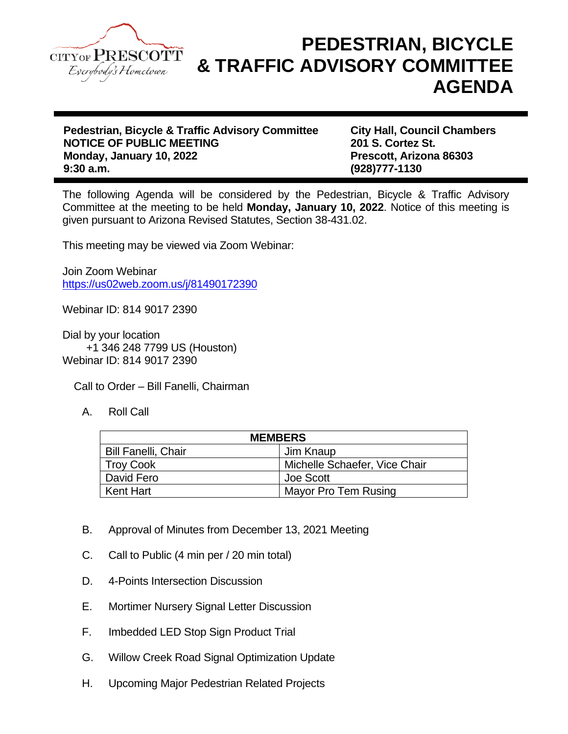

## **PEDESTRIAN, BICYCLE & TRAFFIC ADVISORY COMMITTEE AGENDA**

**Pedestrian, Bicycle & Traffic Advisory Committee City Hall, Council Chambers NOTICE OF PUBLIC MEETING Monday, January 10, 2022 Prescott, Arizona 86303**

**9:30 a.m. (928)777-1130**

The following Agenda will be considered by the Pedestrian, Bicycle & Traffic Advisory Committee at the meeting to be held **Monday, January 10, 2022**. Notice of this meeting is given pursuant to Arizona Revised Statutes, Section 38-431.02.

This meeting may be viewed via Zoom Webinar:

Join Zoom Webinar <https://us02web.zoom.us/j/81490172390>

Webinar ID: 814 9017 2390

Dial by your location +1 346 248 7799 US (Houston) Webinar ID: 814 9017 2390

Call to Order – Bill Fanelli, Chairman

A. Roll Call

| <b>MEMBERS</b>             |                               |
|----------------------------|-------------------------------|
| <b>Bill Fanelli, Chair</b> | Jim Knaup                     |
| <b>Troy Cook</b>           | Michelle Schaefer, Vice Chair |
| David Fero                 | Joe Scott                     |
| Kent Hart                  | Mayor Pro Tem Rusing          |

- B. Approval of Minutes from December 13, 2021 Meeting
- C. Call to Public (4 min per / 20 min total)
- D. 4-Points Intersection Discussion
- E. Mortimer Nursery Signal Letter Discussion
- F. Imbedded LED Stop Sign Product Trial
- G. Willow Creek Road Signal Optimization Update
- H. Upcoming Major Pedestrian Related Projects